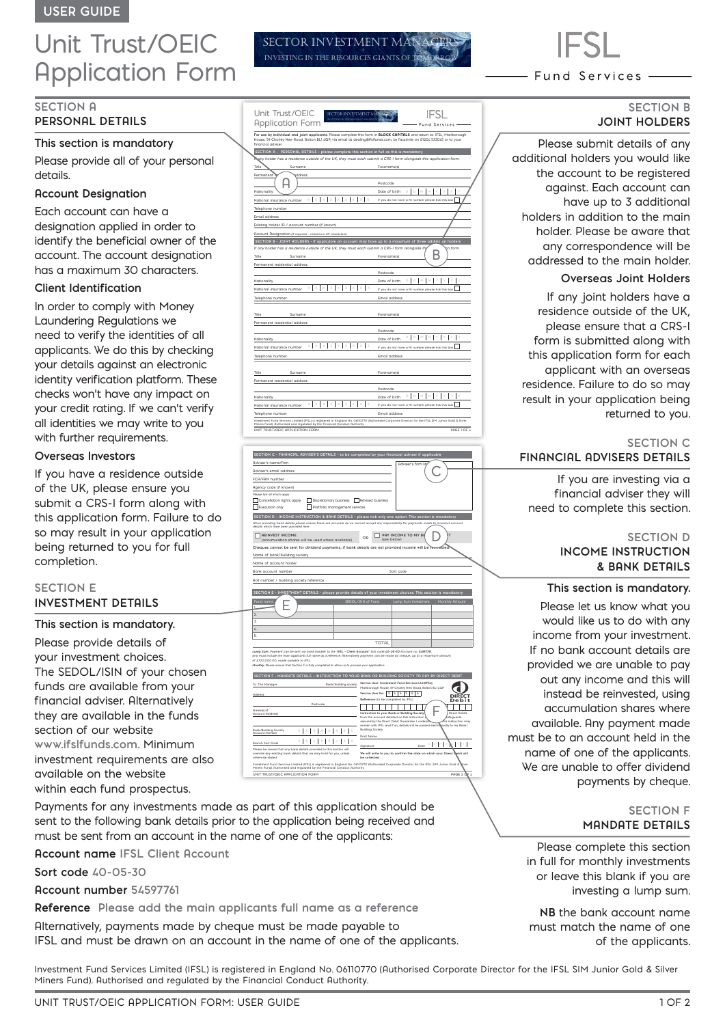# Unit Trust/OEIC Application Form

# **SECTION A**

# **PERSONAL DETAILS**

### **This section is mandatory**

Please provide all of your personal details.

### **Account Designation**

Each account can have a designation applied in order to identify the beneficial owner of the account. The account designation has a maximum 30 characters.

# **Client Identification**

In order to comply with Money Laundering Regulations we need to verify the identities of all applicants. We do this by checking your details against an electronic identity verification platform. These checks won't have any impact on your credit rating. If we can't verify all identities we may write to you with further requirements.

## **Overseas Investors**

If you have a residence outside of the UK, please ensure you submit a CRS-I form along with this application form. Failure to do so may result in your application being returned to you for full completion.

# **SECTION E INVESTMENT DETAILS**

#### **This section is mandatory.**

Please provide details of your investment choices. The SEDOL/ISIN of your chosen funds are available from your financial adviser. Alternatively they are available in the funds section of our website **www.ifslfunds.com.** Minimum investment requirements are also available on the website within each fund prospectus.

Payments for any investments made as part of this application should be sent to the following bank details prior to the application being received and must be sent from an account in the name of one of the applicants:

**Account name IFSL Client Account**

**Sort code 40-05-30** 

**Account number 54597761**

**Reference Please add the main applicants full name as a reference**

Alternatively, payments made by cheque must be made payable to IFSL and must be drawn on an account in the name of one of the applicants.

Unit Trust/OEIC **IFSL** Application Form und Servia For use by individual and joint applicants. Please complete this form in **BLOCK CAPITALS** and return to: IFSL, Marlborough<br>House, 59 Chorley New Road, Bolton BL1 4QP, via email at dealing@ifsifunds.com, by facsimile on 012 financial adviser.  **SECTION A - PERSONAL DETAILS – please complete this section in full as this is mandatory** *If any holder has a residence outside of the UK, they must each submit a CRS-I form alongside this application form.*  Title Surname Surname Forename(s)  $\rho$ Postcode Nationality Date of birth **D D M M Y Y Y Y** National insurance number  $X \mid X \mid X \mid X \mid X \mid X \mid X \mid X \mid X$  **If** you do not have a NI number please tick this box Telephone number Email address Existing holder ID / account number (if known) Account Designation *(if required - maximum 30 characters)* **SECTION B - JOINT HOLDERS - if applicable an account may have up to a maximum of three additional holders** *If any holder has a residence outside of the UK, they must each submit a CRS-I form alongside thi*s application form. Title Surname Forename(s) Permanent residential address Postcode **D D M M Y Y Y Y** Nationality **Date of birth**  $\frac{1}{2}$   $\frac{1}{2}$   $\frac{1}{2}$   $\frac{1}{2}$   $\frac{1}{2}$   $\frac{1}{2}$   $\frac{1}{2}$   $\frac{1}{2}$   $\frac{1}{2}$   $\frac{1}{2}$   $\frac{1}{2}$   $\frac{1}{2}$   $\frac{1}{2}$   $\frac{1}{2}$   $\frac{1}{2}$   $\frac{1}{2}$   $\frac{1}{2}$   $\frac{1}{2}$   $\frac{1}{2}$   $\frac{$ Telephone number Email address Title Surname Forename(s) Permanent residential address Postcode **D D M M Y Y Y Y** Nationality Date of birth National insurance number If you do not have a NI number please tick this box **X X X X X X X X X** Telephone number **Email address** Title Surname Forename(s) Permanent residential address Postcode **D D M M Y Y Y Y** Nationality Date of birth National insurance number If you do not have a NI number please tick this box **X X X X X X X X X**

**SECTOR INVESTMENT MA** INVESTING IN THE RESOURCES GIANTS OF

UNIT TRUST/OEIC APPLICATION FORM **PAGE 1 OF 4** PAGE 1 OF 4

Investment Fund Services Limited (IFSL) is registered in England No. 06110770 (Authorised Corporate Director for the IFSL SIM Junior Gold & Silver

Telephone number Email address

Miners Fund). Authorised and regulated by the Financial Conduct Authority.

| SECTION C - FINANCIAL ADVISER'S DETAILS - to be completed by your financial adviser if applicable                                                                                                                                                             |                                                                                                                                           |  |  |  |  |
|---------------------------------------------------------------------------------------------------------------------------------------------------------------------------------------------------------------------------------------------------------------|-------------------------------------------------------------------------------------------------------------------------------------------|--|--|--|--|
|                                                                                                                                                                                                                                                               |                                                                                                                                           |  |  |  |  |
| Adviser's name/firm                                                                                                                                                                                                                                           | <b>Rdviser's firm st</b>                                                                                                                  |  |  |  |  |
| Adviser's email address                                                                                                                                                                                                                                       |                                                                                                                                           |  |  |  |  |
| FCA/FRN number                                                                                                                                                                                                                                                |                                                                                                                                           |  |  |  |  |
| Agency code (if known)                                                                                                                                                                                                                                        |                                                                                                                                           |  |  |  |  |
| Please tick all which apply                                                                                                                                                                                                                                   |                                                                                                                                           |  |  |  |  |
| Discretionary business   Advised business<br>Cancellation rights apply                                                                                                                                                                                        |                                                                                                                                           |  |  |  |  |
| Portfolio management services<br>Execution only                                                                                                                                                                                                               |                                                                                                                                           |  |  |  |  |
| SECTION D - INCOME INSTRUCTION & BANK DETAILS - please tick only one option. This section is mandatory                                                                                                                                                        |                                                                                                                                           |  |  |  |  |
| When providing bank details please ensure these are accurate as we cannot accept any responsibility for payments made to incorrect account                                                                                                                    |                                                                                                                                           |  |  |  |  |
| details which have been provided here.                                                                                                                                                                                                                        |                                                                                                                                           |  |  |  |  |
| <b>REINVEST INCOME</b><br>(accumulation shares will be used where available)                                                                                                                                                                                  | PAY INCOME TO MY BR<br>OD<br>(see below)                                                                                                  |  |  |  |  |
| Cheques cannot be sent for dividend payments, if bank details are not provided income will be remvested.                                                                                                                                                      |                                                                                                                                           |  |  |  |  |
| Name of bank/building society                                                                                                                                                                                                                                 |                                                                                                                                           |  |  |  |  |
| Name of account holder                                                                                                                                                                                                                                        |                                                                                                                                           |  |  |  |  |
| Bank account number                                                                                                                                                                                                                                           | Sort code                                                                                                                                 |  |  |  |  |
|                                                                                                                                                                                                                                                               |                                                                                                                                           |  |  |  |  |
| Roll number / building society reference                                                                                                                                                                                                                      |                                                                                                                                           |  |  |  |  |
| SECTION E - INVESTMENT DETAILS - please provide details of your investment choices. This section is mandatory                                                                                                                                                 |                                                                                                                                           |  |  |  |  |
|                                                                                                                                                                                                                                                               | SEDOL/ISIN of Fund                                                                                                                        |  |  |  |  |
| Fund name                                                                                                                                                                                                                                                     | Lump Sum Investment<br>Monthly Amount                                                                                                     |  |  |  |  |
| $\mathfrak{D}$                                                                                                                                                                                                                                                |                                                                                                                                           |  |  |  |  |
| 3                                                                                                                                                                                                                                                             |                                                                                                                                           |  |  |  |  |
| $\mathcal{L}$                                                                                                                                                                                                                                                 |                                                                                                                                           |  |  |  |  |
| 5.                                                                                                                                                                                                                                                            |                                                                                                                                           |  |  |  |  |
|                                                                                                                                                                                                                                                               | <b>TOTAL</b>                                                                                                                              |  |  |  |  |
|                                                                                                                                                                                                                                                               |                                                                                                                                           |  |  |  |  |
| Lump Sum: Payment can be sent via bank transfer to the 'IFSL - Client Account' Sort code 40-05-30 Account no. 54597761.<br>and must include the main applicants full name as a reference. Alternatively payment can be made by cheque, up to a maximum amount |                                                                                                                                           |  |  |  |  |
| of £100,000.00, made payable to IFSL.<br>Monthly: Please ensure that Section F is fully completed to allow us to process your application.                                                                                                                    |                                                                                                                                           |  |  |  |  |
|                                                                                                                                                                                                                                                               |                                                                                                                                           |  |  |  |  |
| SECTION F - MANDATE DETAILS - INSTRUCTION TO YOUR BANK OR BUILDING SOCIETY TO PAY BY DIRECT DEBIT                                                                                                                                                             |                                                                                                                                           |  |  |  |  |
| To: The Manager<br>Bank/building society                                                                                                                                                                                                                      | Service User: Investment Fund Services Ltd (IFSL).                                                                                        |  |  |  |  |
|                                                                                                                                                                                                                                                               | Marlborough House, 59 Chorley New Road, Bolton BL1 4QP<br>Service User No: 2 4 6 5 6<br>6                                                 |  |  |  |  |
| Address                                                                                                                                                                                                                                                       | <b>DIREC</b><br>Reference: (to be completed by IFSL)<br>Debit                                                                             |  |  |  |  |
| Postcode                                                                                                                                                                                                                                                      |                                                                                                                                           |  |  |  |  |
| Name(s) of<br>Account Holder(s)                                                                                                                                                                                                                               | Instruction to your Bank or Building Society.<br><b>Direct Debits</b>                                                                     |  |  |  |  |
|                                                                                                                                                                                                                                                               | from the account detailed on this instruction :<br>dreguards<br>assured by the Direct Debit Guarantee. I understa<br>fris instruction may |  |  |  |  |
|                                                                                                                                                                                                                                                               | remain with IFSL and if so, details will be passed electrowically to my Bank/                                                             |  |  |  |  |
| Bank/Building Society<br><b>Account Number</b>                                                                                                                                                                                                                | <b>Building Society.</b><br>Print Name                                                                                                    |  |  |  |  |
| Branch Sort Code                                                                                                                                                                                                                                              |                                                                                                                                           |  |  |  |  |
| Please be aware that any bank details provided in this section will                                                                                                                                                                                           | $D$ $D$<br>Ÿ<br>Dote<br>Signature                                                                                                         |  |  |  |  |
| override any existing bank details that we may hold for you, unless                                                                                                                                                                                           | We will write to you to confirm the date on which your Direct Bebit will                                                                  |  |  |  |  |
| otherwise stated.<br>be collected.<br>Investment Fund Services Limited (IFSL) is registered in England No. 06110770 (Authorised Corporate Director for the IFSL SIM Junior Gold &                                                                             |                                                                                                                                           |  |  |  |  |
| Miners Fund). Authorised and regulated by the Financial Conduct Authority.                                                                                                                                                                                    |                                                                                                                                           |  |  |  |  |
| UNIT TRUST/OEIC APPLICATION FORM                                                                                                                                                                                                                              | PAGE 2 OF                                                                                                                                 |  |  |  |  |
|                                                                                                                                                                                                                                                               |                                                                                                                                           |  |  |  |  |

Fund Services .

# **SECTION B JOINT HOLDERS**

Please submit details of any additional holders you would like the account to be registered against. Each account can have up to 3 additional holders in addition to the main holder. Please be aware that any correspondence will be addressed to the main holder.

#### **Overseas Joint Holders**

If any joint holders have a residence outside of the UK, please ensure that a CRS-I form is submitted along with this application form for each applicant with an overseas residence. Failure to do so may result in your application being returned to you.

#### **SECTION C FINANCIAL ADVISERS DETAILS**

If you are investing via a financial adviser they will need to complete this section.

# **SECTION D INCOME INSTRUCTION & BANK DETAILS**

#### **This section is mandatory.**

Please let us know what you would like us to do with any income from your investment. If no bank account details are provided we are unable to pay out any income and this will instead be reinvested, using accumulation shares where available. Any payment made must be to an account held in the name of one of the applicants. We are unable to offer dividend payments by cheque.

#### **SECTION F MANDATE DETAILS**

Please complete this section in full for monthly investments or leave this blank if you are investing a lump sum.

**NB** the bank account name must match the name of one of the applicants.

Investment Fund Services Limited (IFSL) is registered in England No. 06110770 (Authorised Corporate Director for the IFSL SIM Junior Gold & Silver Miners Fund). Authorised and regulated by the Financial Conduct Authority.